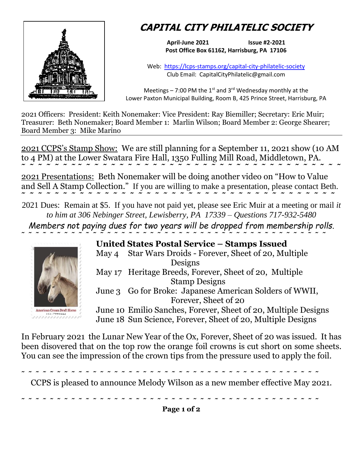

## **CAPITAL CITY PHILATELIC SOCIETY**

**April-June 2021 Issue #2-2021 Post Office Box 61162, Harrisburg, PA 17106**

Web: <https://lcps-stamps.org/capital-city-philatelic-society> Club Email: CapitalCityPhilatelic@gmail.com

Meetings – 7:00 PM the  $1<sup>st</sup>$  and 3<sup>rd</sup> Wednesday monthly at the Lower Paxton Municipal Building, Room B, 425 Prince Street, Harrisburg, PA

2021 Officers: President: Keith Nonemaker: Vice President: Ray Biemiller; Secretary: Eric Muir; Treasurer: Beth Nonemaker; Board Member 1: Marlin Wilson; Board Member 2: George Shearer; Board Member 3: Mike Marino

2021 CCPS's Stamp Show: We are still planning for a September 11, 2021 show (10 AM to 4 PM) at the Lower Swatara Fire Hall, 1350 Fulling Mill Road, Middletown, PA. **˜ ˜ ˜ ˜ ˜ ˜ ˜ ˜ ˜ ˜ ˜ ˜ ˜ ˜ ˜ ˜ ˜ ˜ ˜ ˜ ˜ ˜ ˜ ˜ ˜ ˜ ˜ ˜ ˜ ˜ ˜ ˜ ˜ ˜ ˜ ˜ ˜ ˜ ˜** 

2021 Presentations: Beth Nonemaker will be doing another video on "How to Value and Sell A Stamp Collection." If you are willing to make a presentation, please contact Beth. **˜ ˜ ˜ ˜ ˜ ˜ ˜ ˜ ˜ ˜ ˜ ˜ ˜ ˜ ˜ ˜ ˜ ˜ ˜ ˜ ˜ ˜ ˜ ˜ ˜ ˜ ˜ ˜ ˜ ˜ ˜ ˜ ˜ ˜ ˜ ˜ ˜ ˜** 

2021 Dues: Remain at \$5. If you have not paid yet, please see Eric Muir at a meeting or mail *it to him at 306 Nebinger Street, Lewisberry, PA 17339 – Questions 717-932-5480 Members not paying dues for two years will be dropped from membership rolls.*



**United States Postal Service – Stamps Issued** May 4 Star Wars Droids - Forever, Sheet of 20, Multiple Designs May 17 Heritage Breeds, Forever, Sheet of 20, Multiple Stamp Designs June 3 Go for Broke: Japanese American Solders of WWII, Forever, Sheet of 20 June 10 Emilio Sanches, Forever, Sheet of 20, Multiple Designs June 18 Sun Science, Forever, Sheet of 20, Multiple Designs

In February 2021 the Lunar New Year of the Ox, Forever, Sheet of 20 was issued. It has been disovered that on the top row the orange foil crowns is cut short on some sheets. You can see the impression of the crown tips from the pressure used to apply the foil.

**˜ ˜ ˜ ˜ ˜ ˜ ˜ ˜ ˜ ˜ ˜ ˜ ˜ ˜ ˜ ˜ ˜ ˜ ˜ ˜ ˜ ˜ ˜ ˜ ˜ ˜ ˜ ˜ ˜ ˜ ˜ ˜ ˜ ˜ ˜ ˜ ˜ ˜ ˜ ˜ ˜ ˜** 

CCPS is pleased to announce Melody Wilson as a new member effective May 2021.

**˜ ˜ ˜ ˜ ˜ ˜ ˜ ˜ ˜ ˜ ˜ ˜ ˜ ˜ ˜ ˜ ˜ ˜ ˜ ˜ ˜ ˜ ˜ ˜ ˜ ˜ ˜ ˜ ˜ ˜ ˜ ˜ ˜ ˜ ˜ ˜ ˜ ˜ ˜ ˜ ˜ ˜** 

**Page 1 of 2**